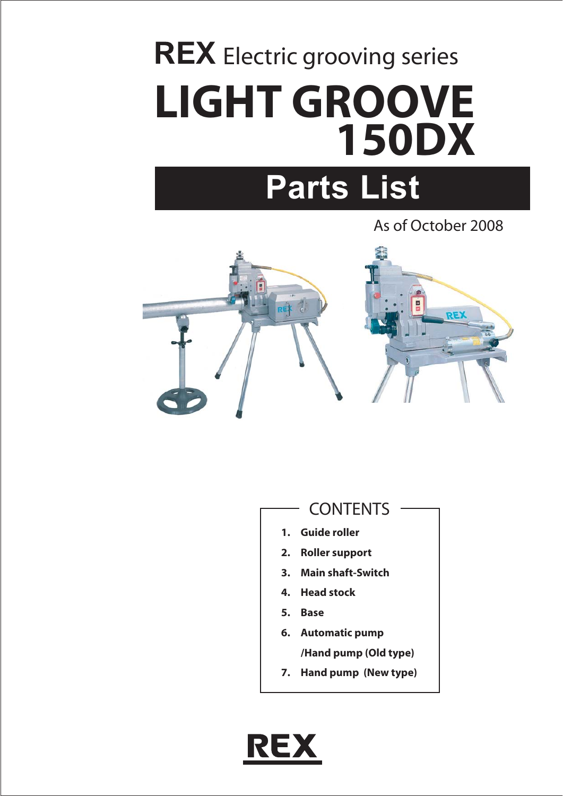# **REX** Electric grooving series **LIGHT GROOVE 150DX**

## **Parts List**

As of October 2008



- **CONTENTS**
- **1. Guide roller**
- **2. Roller support**
- **3. Main shaft-Switch**
- **4. Head stock**
- **5. Base**
- **6. Automatic pump /Hand pump (Old type)**
- **7. Hand pump (New type)**

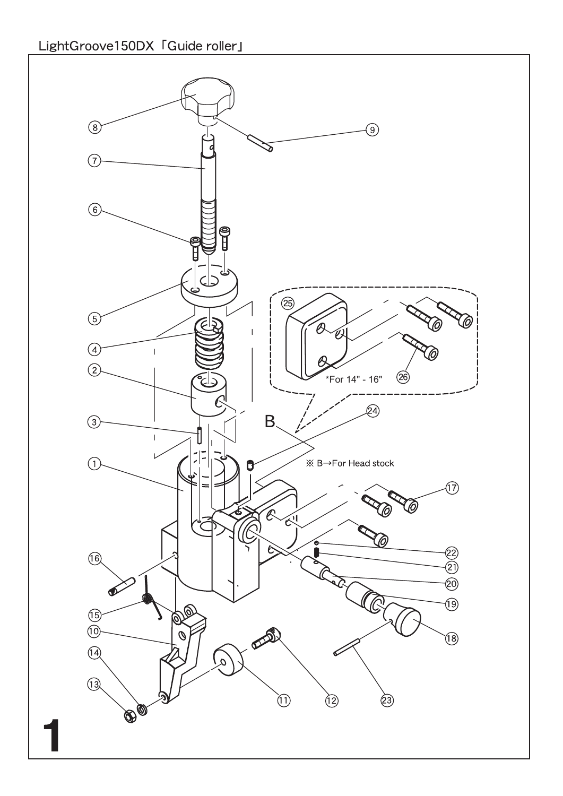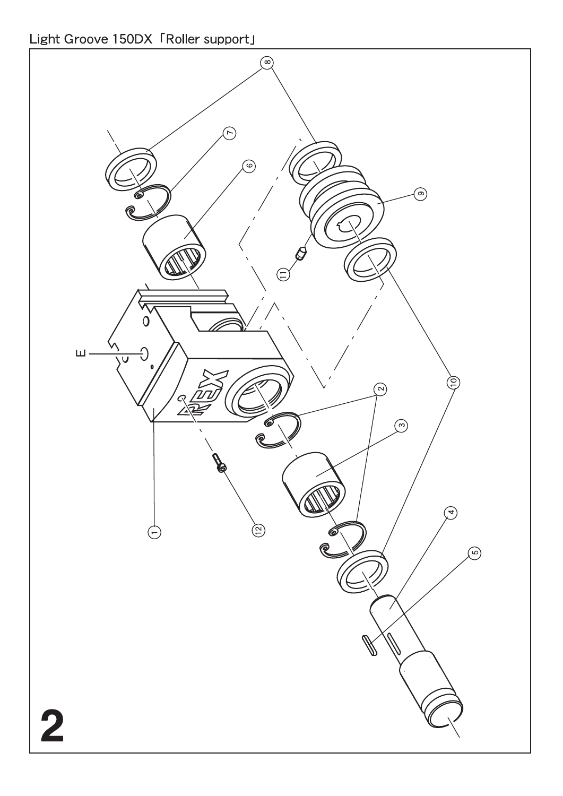Light Groove 150DX FRoller support」

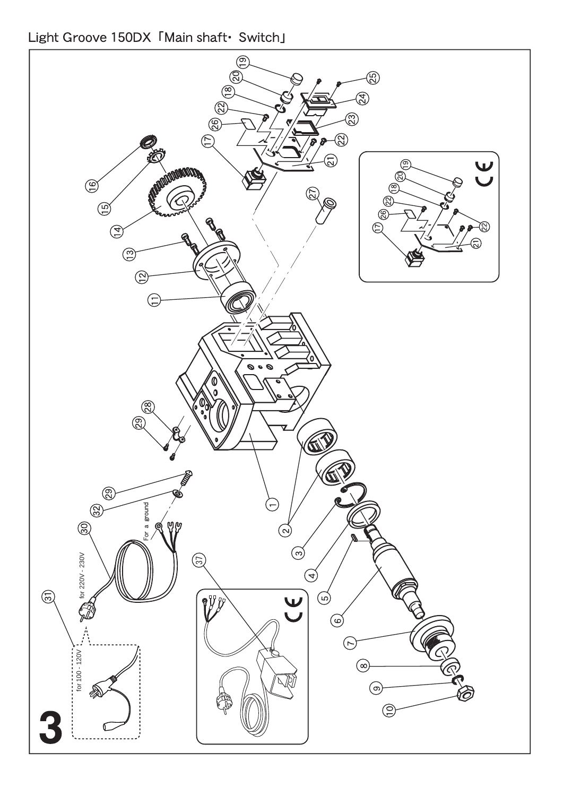Light Groove 150DX 「Main shaft• Switch」

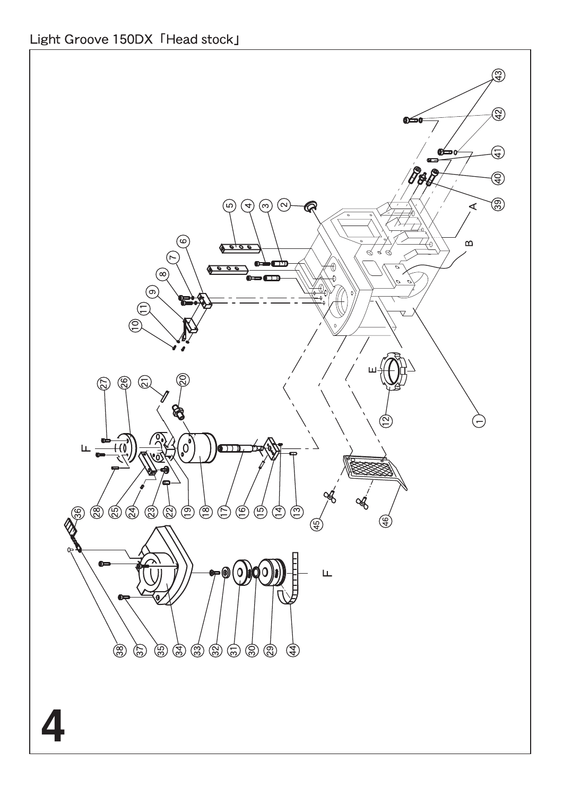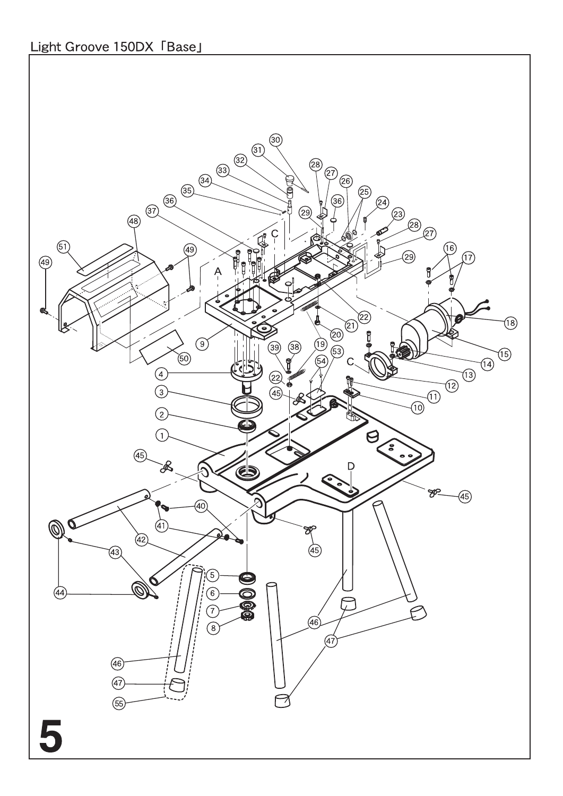## Light Groove 150DX 「Base」

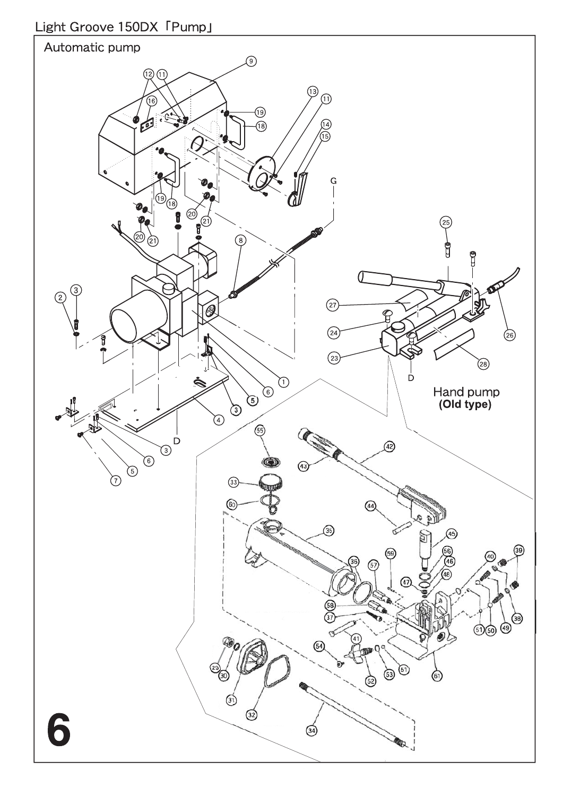### Light Groove 150DX 「Pump」

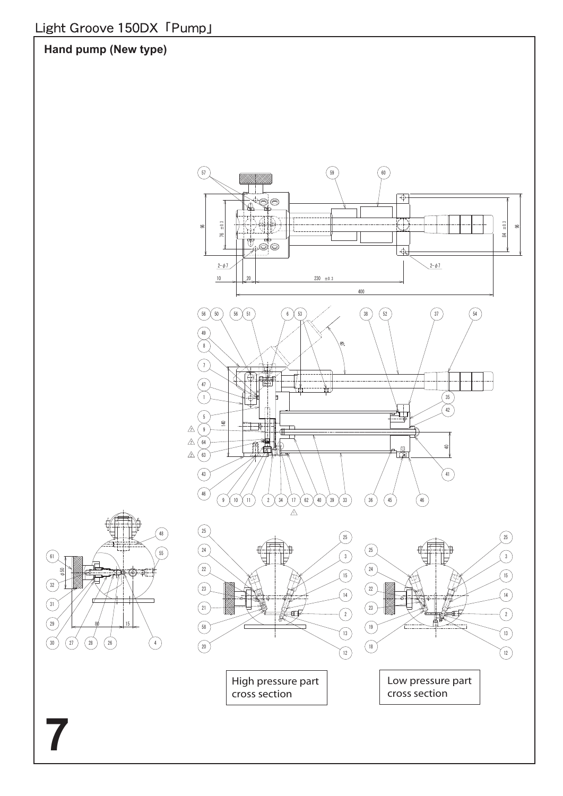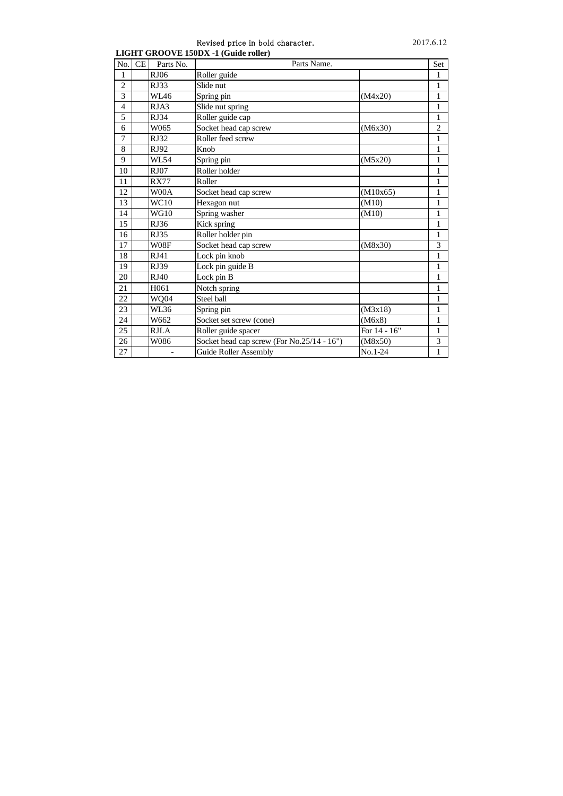#### Revised price in bold character. 2017.6.12 **LIGHT GROOVE 150DX -1 (Guide roller)**

| No.            | CE | Parts No.   | Parts Name.                                |                | Set            |
|----------------|----|-------------|--------------------------------------------|----------------|----------------|
| 1              |    | <b>RJ06</b> | Roller guide                               |                | 1              |
| $\overline{c}$ |    | RJ33        | Slide nut                                  |                | 1              |
| 3              |    | WI 46       | Spring pin                                 | (M4x20)        | $\mathbf{1}$   |
| $\overline{4}$ |    | RJA3        | Slide nut spring                           |                | $\mathbf{1}$   |
| 5              |    | RJ34        | Roller guide cap                           |                | 1              |
| 6              |    | W065        | Socket head cap screw                      | (M6x30)        | $\overline{2}$ |
| 7              |    | <b>RJ32</b> | Roller feed screw                          |                | 1              |
| 8              |    | RJ92        | Knob                                       |                | $\mathbf{1}$   |
| 9              |    | WL54        | Spring pin                                 | (M5x20)        | $\mathbf{1}$   |
| 10             |    | RJ07        | Roller holder                              |                | $\mathbf{1}$   |
| 11             |    | <b>RX77</b> | Roller                                     |                | $\mathbf{1}$   |
| 12             |    | W00A        | Socket head cap screw                      | (M10x65)       | 1              |
| 13             |    | WC10        | Hexagon nut                                | (M10)          | $\mathbf{1}$   |
| 14             |    | WG10        | Spring washer                              | (M10)          | 1              |
| 15             |    | RJ36        | Kick spring                                |                | $\mathbf{1}$   |
| 16             |    | RJ35        | Roller holder pin                          |                | $\mathbf{1}$   |
| 17             |    | W08F        | Socket head cap screw                      | (M8x30)        | 3              |
| 18             |    | RJ41        | Lock pin knob                              |                | $\mathbf{1}$   |
| 19             |    | <b>RJ39</b> | Lock pin guide B                           |                | $\mathbf{1}$   |
| 20             |    | RJ40        | Lock pin B                                 |                | $\mathbf{1}$   |
| 21             |    | H061        | Notch spring                               |                | $\mathbf{1}$   |
| 22             |    | WQ04        | Steel ball                                 |                | $\mathbf{1}$   |
| 23             |    | WL36        | Spring pin                                 | (M3x18)        | 1              |
| 24             |    | W662        | Socket set screw (cone)                    | (M6x8)         | $\mathbf{1}$   |
| 25             |    | <b>RJLA</b> | Roller guide spacer                        | For $14 - 16"$ | $\mathbf{1}$   |
| 26             |    | W086        | Socket head cap screw (For No.25/14 - 16") | (M8x50)        | 3              |
| 27             |    |             | <b>Guide Roller Assembly</b>               | No.1-24        | $\mathbf{1}$   |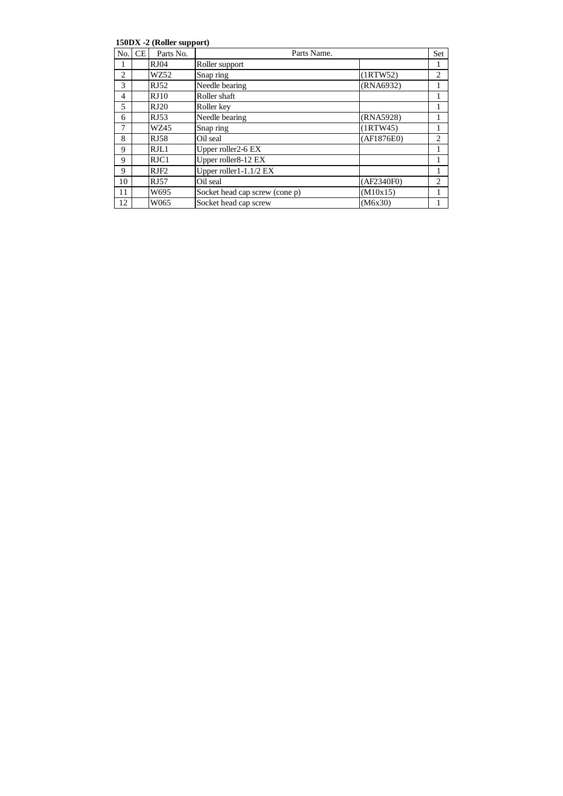**150DX -2 (Roller support)**

|     |           | .           |                                |            |                |
|-----|-----------|-------------|--------------------------------|------------|----------------|
| No. | <b>CE</b> | Parts No.   | Parts Name.                    |            | Set            |
| 1   |           | RJ04        | Roller support                 |            | 1              |
| 2   |           | WZ52        | Snap ring                      | (1RTW52)   | $\overline{2}$ |
| 3   |           | RJ52        | Needle bearing                 | (RNA6932)  | 1              |
| 4   |           | RJ10        | Roller shaft                   |            | 1              |
| 5   |           | RJ20        | Roller key                     |            | 1              |
| 6   |           | RJ53        | Needle bearing                 | (RNA5928)  | 1              |
| 7   |           | WZ45        | Snap ring                      | (1RTW45)   | 1              |
| 8   |           | <b>RJ58</b> | Oil seal                       | (AF1876E0) | $\overline{2}$ |
| 9   |           | RJL1        | Upper roller2-6 EX             |            | 1              |
| 9   |           | RJC1        | Upper roller8-12 EX            |            | 1              |
| 9   |           | RJF2        | Upper roller1-1.1/2 $EX$       |            | 1              |
| 10  |           | RJ57        | Oil seal                       | (AF2340F0) | $\overline{c}$ |
| 11  |           | W695        | Socket head cap screw (cone p) | (M10x15)   | 1              |
| 12  |           | W065        | Socket head cap screw          | (M6x30)    |                |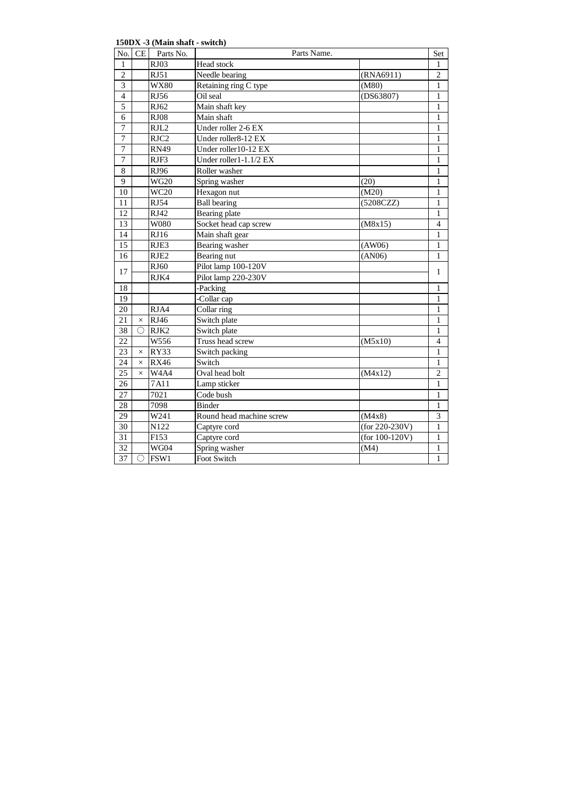**150DX -3 (Main shaft - switch)**

| No.             | CE         | Parts No.                     | Parts Name.              |                   | Set            |
|-----------------|------------|-------------------------------|--------------------------|-------------------|----------------|
| 1               |            | RJ03                          | Head stock               |                   | 1              |
| $\overline{c}$  |            | <b>RJ51</b>                   | Needle bearing           | (RNA6911)         | $\overline{c}$ |
| $\overline{3}$  |            | <b>WX80</b>                   | Retaining ring C type    | (M80)             | $\mathbf{1}$   |
| $\overline{4}$  |            | <b>RJ56</b>                   | Oil seal                 | (DS63807)         | $\mathbf{1}$   |
| $\overline{5}$  |            | RJ62                          | Main shaft key           |                   | $\mathbf{1}$   |
| 6               |            | <b>RJ08</b>                   | Main shaft               |                   | $\mathbf{1}$   |
| $\overline{7}$  |            | RJL2                          | Under roller 2-6 EX      |                   | $\mathbf{1}$   |
| $\overline{7}$  |            | RJC2                          | Under roller8-12 EX      |                   | $\mathbf{1}$   |
| $\overline{7}$  |            | <b>RN49</b>                   | Under roller10-12 EX     |                   | $\mathbf{1}$   |
| $\overline{7}$  |            | RJF3                          | Under roller1-1.1/2 EX   |                   | 1              |
| $\,8\,$         |            | RJ96                          | Roller washer            |                   | $\mathbf{1}$   |
| $\overline{9}$  |            | <b>WG20</b>                   | Spring washer            | (20)              | 1              |
| 10              |            | <b>WC20</b>                   | Hexagon nut              | (M20)             | $\mathbf{1}$   |
| 11              |            | RJ54                          | <b>Ball</b> bearing      | (5208CZZ)         | 1              |
| 12              |            | RJ42                          | Bearing plate            |                   | $\mathbf{1}$   |
| 13              |            | W080                          | Socket head cap screw    | (M8x15)           | $\overline{4}$ |
| 14              |            | <b>RJ16</b>                   | Main shaft gear          |                   | $\mathbf{1}$   |
| 15              |            | RJE3                          | <b>Bearing</b> washer    | (AW06)            | 1              |
| 16              |            | RJE <sub>2</sub>              | <b>Bearing nut</b>       | (AN06)            | $\mathbf{1}$   |
| 17              |            | RJ60                          | Pilot lamp 100-120V      |                   | $\mathbf{1}$   |
|                 |            | RJK4                          | Pilot lamp 220-230V      |                   |                |
| 18              |            |                               | -Packing                 |                   | 1              |
| 19              |            |                               | -Collar cap              |                   | 1              |
| 20              |            | RJA4                          | Collar ring              |                   | 1              |
| 21              | $\times$   | RJ46                          | Switch plate             |                   | $\mathbf{1}$   |
| 38              | ∩          | RJK2                          | Switch plate             |                   | 1              |
| $\overline{22}$ |            | W556                          | Truss head screw         | (M5x10)           | $\overline{4}$ |
| 23              | $\times$   | RY33                          | Switch packing           |                   | 1              |
| $2\overline{4}$ | $\times$   | <b>RX46</b>                   | Switch                   |                   | $\mathbf{1}$   |
| 25              | $\times$   | W <sub>4</sub> A <sub>4</sub> | Oval head bolt           | (M4x12)           | $\overline{2}$ |
| 26              |            | 7A11                          | Lamp sticker             |                   | $\mathbf{1}$   |
| 27              |            | 7021                          | Code bush                |                   | $\mathbf{1}$   |
| 28              |            | 7098                          | <b>Binder</b>            |                   | 1              |
| 29              |            | W241                          | Round head machine screw | (M4x8)            | 3              |
| 30              |            | N122                          | Captyre cord             | $(for 220-230V)$  | $\mathbf{1}$   |
| $\overline{31}$ |            | F153                          | Captyre cord             | (for $100-120V$ ) | $\mathbf{1}$   |
| 32              |            | WG04                          | Spring washer            | (M4)              | $\mathbf{1}$   |
| $\overline{37}$ | $\bigcirc$ | FSW1                          | Foot Switch              |                   | $\mathbf{1}$   |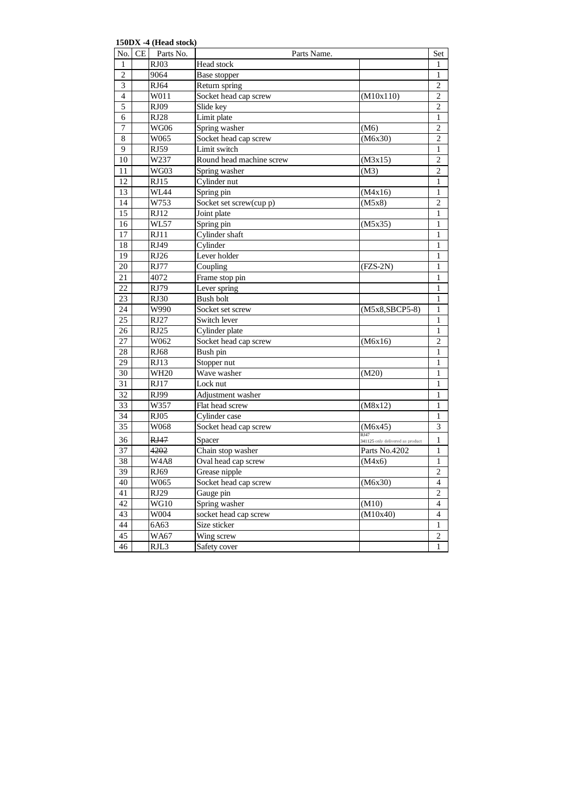**150DX -4 (Head stock)**

| No.              | CE | Parts No.   | Parts Name.              |                                          | Set              |
|------------------|----|-------------|--------------------------|------------------------------------------|------------------|
| 1                |    | RJ03        | Head stock               |                                          | 1                |
| $\overline{c}$   |    | 9064        | Base stopper             |                                          | $\mathbf{1}$     |
| 3                |    | RJ64        | Return spring            |                                          | $\overline{2}$   |
| $\overline{4}$   |    | W011        | Socket head cap screw    | (M10x110)                                | 2                |
| 5                |    | RJ09        | Slide key                |                                          | $\overline{2}$   |
| 6                |    | RJ28        | Limit plate              |                                          | $\mathbf{1}$     |
| $\boldsymbol{7}$ |    | WG06        | Spring washer            | (M6)                                     | $\overline{c}$   |
| 8                |    | W065        | Socket head cap screw    | (M6x30)                                  | $\overline{2}$   |
| 9                |    | <b>RJ59</b> | Limit switch             |                                          | $\mathbf{1}$     |
| 10               |    | W237        | Round head machine screw | (M3x15)                                  | $\overline{c}$   |
| 11               |    | WG03        | Spring washer            | (M3)                                     | $\overline{2}$   |
| 12               |    | RJ15        | Cylinder nut             |                                          | $\mathbf{1}$     |
| 13               |    | WL44        | Spring pin               | (M4x16)                                  | 1                |
| 14               |    | W753        | Socket set screw(cup p)  | (M5x8)                                   | $\overline{c}$   |
| 15               |    | RJ12        | Joint plate              |                                          | 1                |
| 16               |    | <b>WL57</b> | Spring pin               | (M5x35)                                  | 1                |
| $17\,$           |    | RJ11        | Cylinder shaft           |                                          | 1                |
| $18\,$           |    | RJ49        | Cylinder                 |                                          | 1                |
| 19               |    | RJ26        | Lever holder             |                                          | $\mathbf{1}$     |
| 20               |    | <b>RJ77</b> | Coupling                 | $(FZS-2N)$                               | 1                |
| 21               |    | 4072        | Frame stop pin           |                                          | 1                |
| 22               |    | RJ79        | Lever spring             |                                          | 1                |
| 23               |    | <b>RJ30</b> | <b>Bush bolt</b>         |                                          | $\mathbf{1}$     |
| 24               |    | W990        | Socket set screw         | $(M5x8,SBCP5-8)$                         | 1                |
| 25               |    | RJ27        | Switch lever             |                                          | 1                |
| 26               |    | RJ25        | Cylinder plate           |                                          | 1                |
| 27               |    | W062        | Socket head cap screw    | (M6x16)                                  | $\overline{c}$   |
| 28               |    | <b>RJ68</b> | Bush pin                 |                                          | $\mathbf{1}$     |
| 29               |    | RJ13        | Stopper nut              |                                          | 1                |
| 30               |    | <b>WH20</b> | Wave washer              | (M20)                                    | $\mathbf{1}$     |
| 31               |    | RJ17        | Lock nut                 |                                          | $\mathbf{1}$     |
| 32               |    | RJ99        | Adjustment washer        |                                          | 1                |
| 33               |    | W357        | Flat head screw          | (M8x12)                                  | 1                |
| 34               |    | RJ05        | Cylinder case            |                                          | 1                |
| 35               |    | W068        | Socket head cap screw    | (M6x45)                                  | 3                |
| 36               |    | RJ47        | Spacer                   | RI47<br>341125 only delivered as product | $\mathbf{1}$     |
| 37               |    | 4202        | Chain stop washer        | Parts No.4202                            | 1                |
| 38               |    | W4A8        | Oval head cap screw      | (M4x6)                                   | 1                |
| $\overline{39}$  |    | RJ69        | Grease nipple            |                                          | $\overline{c}$   |
| 40               |    | W065        | Socket head cap screw    | (M6x30)                                  | $\overline{4}$   |
| 41               |    | RJ29        | Gauge pin                |                                          | $\overline{2}$   |
| 42               |    | <b>WG10</b> | Spring washer            | (M10)                                    | $\overline{4}$   |
| 43               |    | W004        | socket head cap screw    | (M10x40)                                 | $\overline{4}$   |
| 44               |    | 6A63        | Size sticker             |                                          | $\mathbf{1}$     |
| 45               |    | <b>WA67</b> | Wing screw               |                                          | $\boldsymbol{2}$ |
| 46               |    | RJL3        | Safety cover             |                                          | 1                |
|                  |    |             |                          |                                          |                  |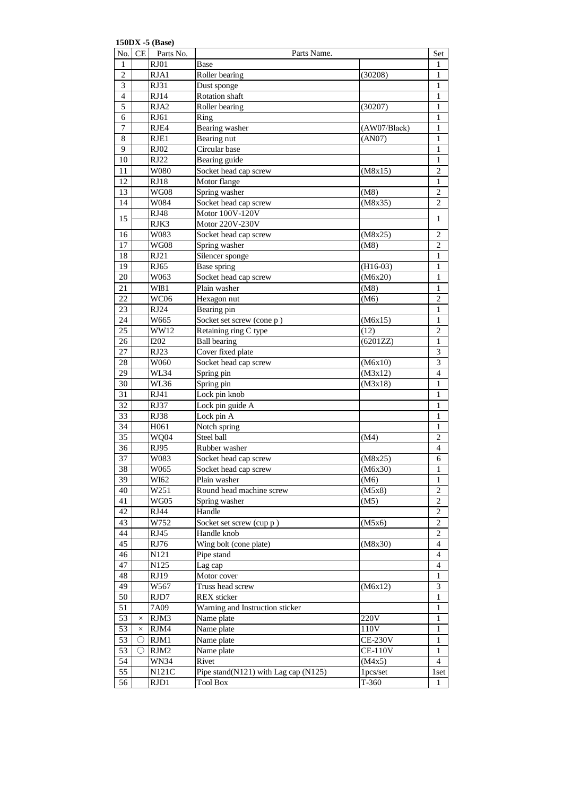**150DX -5 (Base)**

|                 |          | $150021 - 50000$<br>No. CE Parts No. | Parts Name.                          |                | Set              |
|-----------------|----------|--------------------------------------|--------------------------------------|----------------|------------------|
| 1               |          | RJ01                                 | Base                                 |                | 1                |
| 2               |          | RJA1                                 | Roller bearing                       | (30208)        | 1                |
| 3               |          | RJ31                                 | Dust sponge                          |                | 1                |
| $\overline{4}$  |          | RJ14                                 | Rotation shaft                       |                | 1                |
| 5               |          | RJA2                                 | Roller bearing                       | (30207)        | 1                |
| $\overline{6}$  |          | RJ61                                 |                                      |                |                  |
|                 |          |                                      | Ring                                 |                | 1                |
| $\tau$          |          | RJE4                                 | Bearing washer                       | (AW07/Black)   | 1                |
| $\overline{8}$  |          | RJE1                                 | Bearing nut                          | (AN07)         | $\mathbf{1}$     |
| 9               |          | RJ02                                 | Circular base                        |                | 1                |
| 10              |          | RJ22                                 | Bearing guide                        |                | 1                |
| 11              |          | W080                                 | Socket head cap screw                | (M8x15)        | $\overline{2}$   |
| 12              |          | RJ18                                 | Motor flange                         |                | $\mathbf{1}$     |
| 13              |          | <b>WG08</b>                          | Spring washer                        | (M8)           | $\overline{c}$   |
| 14              |          | W084                                 | Socket head cap screw                | (M8x35)        | $\overline{2}$   |
|                 |          | <b>RJ48</b>                          | Motor 100V-120V                      |                |                  |
| 15              |          | RJK3                                 | Motor 220V-230V                      |                | 1                |
| 16              |          | W083                                 | Socket head cap screw                | (M8x25)        | $\overline{c}$   |
| $\overline{17}$ |          | <b>WG08</b>                          | Spring washer                        | (M8)           | $\boldsymbol{2}$ |
| 18              |          | RJ21                                 | Silencer sponge                      |                | 1                |
| 19              |          | RJ65                                 | Base spring                          | $(H16-03)$     | 1                |
| 20              |          | W063                                 | Socket head cap screw                | (M6x20)        | 1                |
| 21              |          | WI81                                 | Plain washer                         | (M8)           | 1                |
| 22              |          | WC06                                 | Hexagon nut                          | (M6)           | 2                |
| 23              |          | RJ24                                 | Bearing pin                          |                | 1                |
|                 |          |                                      |                                      |                |                  |
| 24              |          | W665                                 | Socket set screw (cone p)            | (M6x15)        | $\mathbf{1}$     |
| 25              |          | WW12                                 | Retaining ring C type                | (12)           | $\overline{2}$   |
| 26              |          | <b>I202</b>                          | <b>Ball bearing</b>                  | (6201ZZ)       | 1                |
| 27              |          | RJ23                                 | Cover fixed plate                    |                | $\overline{3}$   |
| 28              |          | W060                                 | Socket head cap screw                | (M6x10)        | $\overline{3}$   |
| 29              |          | WL34                                 | Spring pin                           | (M3x12)        | $\overline{4}$   |
| 30              |          | WL36                                 | Spring pin                           | (M3x18)        | $\mathbf{1}$     |
| 31              |          | RJ41                                 | Lock pin knob                        |                | $\mathbf{1}$     |
| 32              |          | <b>RJ37</b>                          | Lock pin guide A                     |                | $\mathbf{1}$     |
| 33              |          | <b>RJ38</b>                          | Lock pin A                           |                | 1                |
| 34              |          | H <sub>061</sub>                     | Notch spring                         |                | 1                |
| 35              |          | <b>WQ04</b>                          | Steel ball                           | (M4)           | $\overline{2}$   |
| 36              |          | RJ95                                 | Rubber washer                        |                | $\overline{4}$   |
| 37              |          | W083                                 | Socket head cap screw                | (M8x25)        | 6                |
| 38              |          | W065                                 | Socket head cap screw                | (M6x30)        | $\overline{1}$   |
| 39              |          | WI62                                 | Plain washer                         | (M6)           | 1                |
| 40              |          | W251                                 | Round head machine screw             | (M5x8)         | $\overline{2}$   |
| 41              |          | WG05                                 | Spring washer                        | (M5)           | $\overline{c}$   |
| 42              |          | RJ44                                 | Handle                               |                | $\overline{2}$   |
|                 |          |                                      |                                      |                |                  |
| 43              |          | W752                                 | Socket set screw (cup p)             | (M5x6)         | 2                |
| 44              |          | RJ45                                 | Handle knob                          |                | $\boldsymbol{2}$ |
| 45              |          | RJ76                                 | Wing bolt (cone plate)               | (M8x30)        | $\overline{4}$   |
| 46              |          | N121                                 | Pipe stand                           |                | $\overline{4}$   |
| 47              |          | N125                                 | Lag cap                              |                | 4                |
| 48              |          | RJ19                                 | Motor cover                          |                | 1                |
| 49              |          | W567                                 | Truss head screw                     | (M6x12)        | 3                |
| 50              |          | RJD7                                 | <b>REX</b> sticker                   |                | $\mathbf{1}$     |
| 51              |          | 7A09                                 | Warning and Instruction sticker      |                | 1                |
| 53              | $\times$ | RJM3                                 | Name plate                           | 220V           | 1                |
| 53              | $\times$ | RJM4                                 | Name plate                           | 110V           | 1                |
| 53              | ()       | RJM1                                 | Name plate                           | <b>CE-230V</b> | 1                |
| 53              | $\circ$  | RJM2                                 | Name plate                           | <b>CE-110V</b> | 1                |
| 54              |          | <b>WN34</b>                          | Rivet                                | (M4x5)         | $\overline{4}$   |
| 55              |          | N121C                                | Pipe stand(N121) with Lag cap (N125) | 1pcs/set       | 1 set            |
| 56              |          | RJD1                                 | <b>Tool Box</b>                      | $T-360$        | $\mathbf{1}$     |
|                 |          |                                      |                                      |                |                  |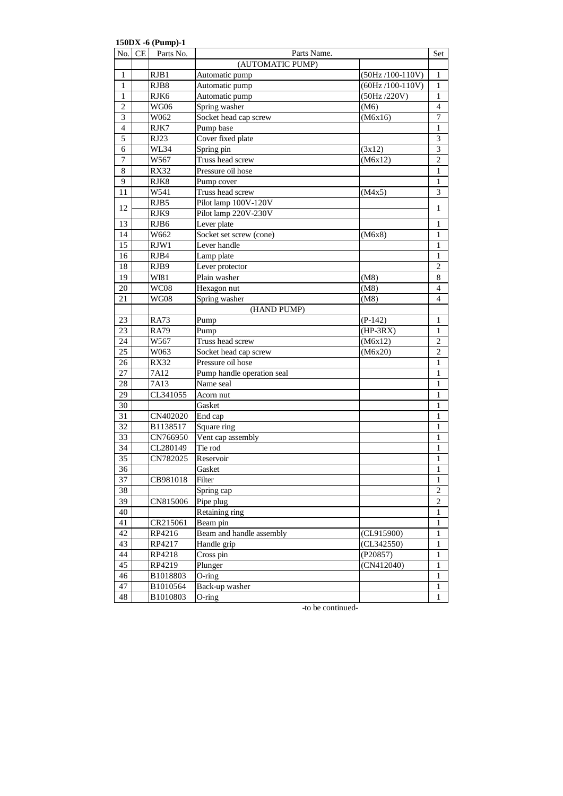| No.              | CE | 150DX -6 (Pump)-1<br>Parts No. | Parts Name.                                |                         | Set               |
|------------------|----|--------------------------------|--------------------------------------------|-------------------------|-------------------|
|                  |    |                                | (AUTOMATIC PUMP)                           |                         |                   |
| 1                |    | RJB1                           | Automatic pump                             | $(50Hz / 100-110V)$     | 1                 |
| 1                |    | RJB8                           | Automatic pump                             | $(60Hz/100-110V)$       | 1                 |
| $\mathbf{1}$     |    | RJK6                           | Automatic pump                             | (50Hz/220V)             | 1                 |
| $\overline{2}$   |    | WG06                           | Spring washer                              | (M6)                    | $\overline{4}$    |
| 3                |    | W062                           | Socket head cap screw                      | (M6x16)                 | $\boldsymbol{7}$  |
| $\overline{4}$   |    | RJK7                           | Pump base                                  |                         | $\mathbf{1}$      |
| 5                |    | RJ23                           | Cover fixed plate                          |                         | $\mathfrak{Z}$    |
| 6                |    | WL34                           | Spring pin                                 | (3x12)                  | 3                 |
| $\boldsymbol{7}$ |    | W567                           | Truss head screw                           | (M6x12)                 | $\overline{c}$    |
| $\,$ 8 $\,$      |    | <b>RX32</b>                    | Pressure oil hose                          |                         | $\mathbf{1}$      |
| 9                |    | RJK8                           | Pump cover                                 |                         | $\mathbf{1}$      |
| 11               |    | W541                           | Truss head screw                           | (M4x5)                  | 3                 |
|                  |    | RJB5                           | Pilot lamp 100V-120V                       |                         |                   |
| 12               |    | RJK9                           | Pilot lamp 220V-230V                       |                         | $\mathbf{1}$      |
| 13               |    | RJB6                           | Lever plate                                |                         | 1                 |
| 14               |    | W662                           | Socket set screw (cone)                    | (M6x8)                  | $\mathbf{1}$      |
| $\overline{15}$  |    | RJW1                           | Lever handle                               |                         | $\mathbf{1}$      |
| 16               |    | RJB4                           | Lamp plate                                 |                         | 1                 |
| 18               |    | RJB9                           | Lever protector                            |                         | $\boldsymbol{2}$  |
| 19               |    | WI81                           | Plain washer                               | (M8)                    | 8                 |
| 20               |    | WC08                           | Hexagon nut                                | (M8)                    | 4                 |
| 21               |    | <b>WG08</b>                    | Spring washer                              | (M8)                    | 4                 |
|                  |    |                                |                                            |                         |                   |
| 23               |    |                                | (HAND PUMP)                                |                         | $\mathbf{1}$      |
| 23               |    | <b>RA73</b><br><b>RA79</b>     | Pump<br>Pump                               | $(P-142)$<br>$(HP-3RX)$ | $\mathbf{1}$      |
| 24               |    |                                | Truss head screw                           |                         | $\overline{2}$    |
| $\overline{25}$  |    | W567<br>W063                   |                                            | (M6x12)                 | $\overline{2}$    |
| 26               |    |                                | Socket head cap screw<br>Pressure oil hose | (M6x20)                 | 1                 |
| 27               |    | <b>RX32</b><br>7A12            | Pump handle operation seal                 |                         | 1                 |
| 28               |    | 7A13                           | Name seal                                  |                         | 1                 |
| 29               |    | CL341055                       |                                            |                         | 1                 |
| 30               |    |                                | Acorn nut                                  |                         | 1                 |
| 31               |    |                                | Gasket                                     |                         |                   |
| 32               |    | CN402020<br>B1138517           | End cap                                    |                         | 1                 |
| 33               |    | CN766950                       | Square ring<br>Vent cap assembly           |                         | 1                 |
| 34               |    | CL280149                       | Tie rod                                    |                         | 1                 |
| $\overline{35}$  |    | CN782025                       |                                            |                         | $\mathbf{1}$      |
| 36               |    |                                | Reservoir                                  |                         | $\mathbf{1}$<br>1 |
|                  |    |                                | Gasket                                     |                         |                   |
| 37               |    | CB981018                       | Filter                                     |                         | 1                 |
| 38               |    |                                | Spring cap                                 |                         | $\overline{2}$    |
| 39               |    | CN815006                       | Pipe plug                                  |                         | $\overline{2}$    |
| 40               |    |                                | Retaining ring                             |                         | 1                 |
| 41               |    | CR215061                       | Beam pin                                   |                         | 1                 |
| 42               |    | RP4216                         | Beam and handle assembly                   | (CL915900)              | 1                 |
| 43               |    | RP4217                         | Handle grip                                | (CL342550)              | $\mathbf{1}$      |
| 44               |    | RP4218                         | Cross pin                                  | (P20857)                | 1                 |
| 45               |    | RP4219                         | Plunger                                    | (CN412040)              | 1                 |
| 46               |    | B1018803                       | $O$ -ring                                  |                         | 1                 |
| 47               |    | B1010564                       | Back-up washer                             |                         | $\mathbf{1}$      |
| 48               |    | B1010803                       | $O$ -ring                                  |                         | $\mathbf{1}$      |

-to be continued-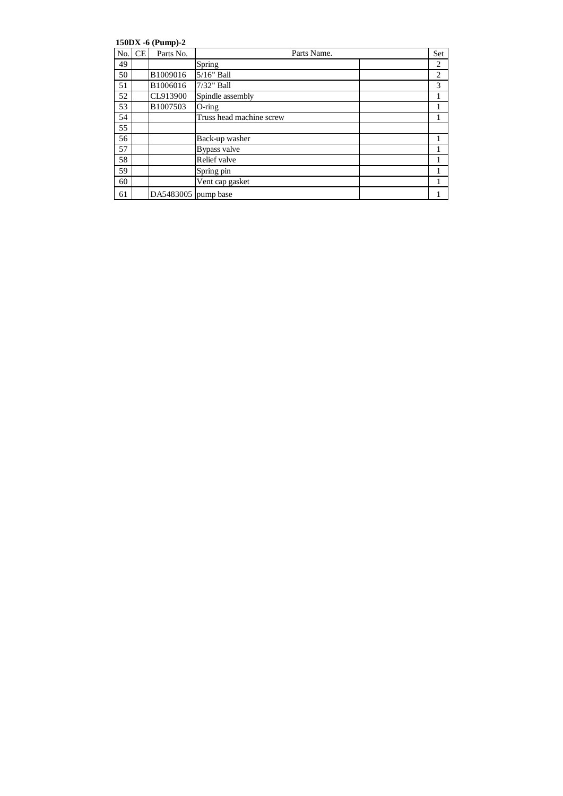**150DX -6 (Pump)-2**

| No. | <b>CE</b> | Parts No.           | Parts Name.              | Set            |
|-----|-----------|---------------------|--------------------------|----------------|
| 49  |           |                     | Spring                   | $\overline{2}$ |
| 50  |           | B1009016            | 5/16" Ball               | $\overline{2}$ |
| 51  |           | B1006016            | $7/32$ " Ball            | 3              |
| 52  |           | CL913900            | Spindle assembly         | 1              |
| 53  |           | B1007503            | $O$ -ring                |                |
| 54  |           |                     | Truss head machine screw | 1              |
| 55  |           |                     |                          |                |
| 56  |           |                     | Back-up washer           |                |
| 57  |           |                     | Bypass valve             |                |
| 58  |           |                     | Relief valve             |                |
| 59  |           |                     | Spring pin               |                |
| 60  |           |                     | Vent cap gasket          |                |
| 61  |           | DA5483005 pump base |                          |                |